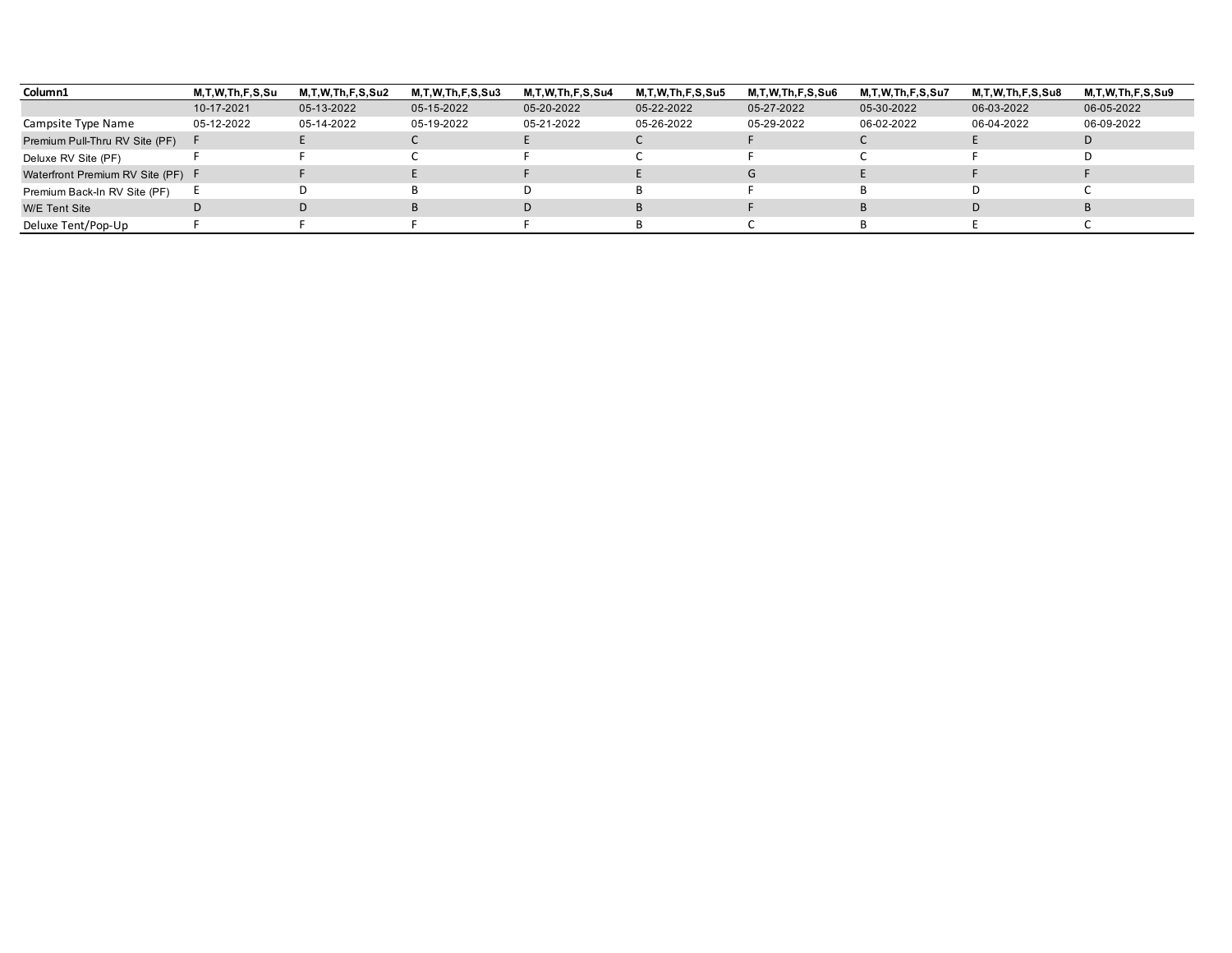| Column1                           | M,T,W,Th,F,S,Su | <b>M.T.W.Th.F.S.Su2</b> | M.T.W.Th.F.S.Su3 | M,T,W,Th,F,S,Su4 | M, T, W, Th, F, S, Su 5 | <b>M.T.W.Th.F.S.Su6</b> | <b>M.T.W.Th.F.S.Su7</b> | M.T.W.Th.F.S.Su8 | M.T.W.Th.F.S.Su9 |
|-----------------------------------|-----------------|-------------------------|------------------|------------------|-------------------------|-------------------------|-------------------------|------------------|------------------|
|                                   | 10-17-2021      | 05-13-2022              | 05-15-2022       | 05-20-2022       | 05-22-2022              | 05-27-2022              | 05-30-2022              | 06-03-2022       | 06-05-2022       |
| Campsite Type Name                | 05-12-2022      | 05-14-2022              | 05-19-2022       | 05-21-2022       | 05-26-2022              | 05-29-2022              | 06-02-2022              | 06-04-2022       | 06-09-2022       |
| Premium Pull-Thru RV Site (PF)    |                 |                         |                  |                  |                         |                         |                         |                  | D                |
| Deluxe RV Site (PF)               |                 |                         |                  |                  |                         |                         |                         |                  |                  |
| Waterfront Premium RV Site (PF) F |                 |                         |                  |                  |                         | G                       |                         |                  |                  |
| Premium Back-In RV Site (PF)      |                 |                         |                  |                  |                         |                         |                         |                  |                  |
| W/E Tent Site                     |                 |                         |                  | D                |                         |                         |                         |                  |                  |
| Deluxe Tent/Pop-Up                |                 |                         |                  |                  |                         |                         |                         |                  |                  |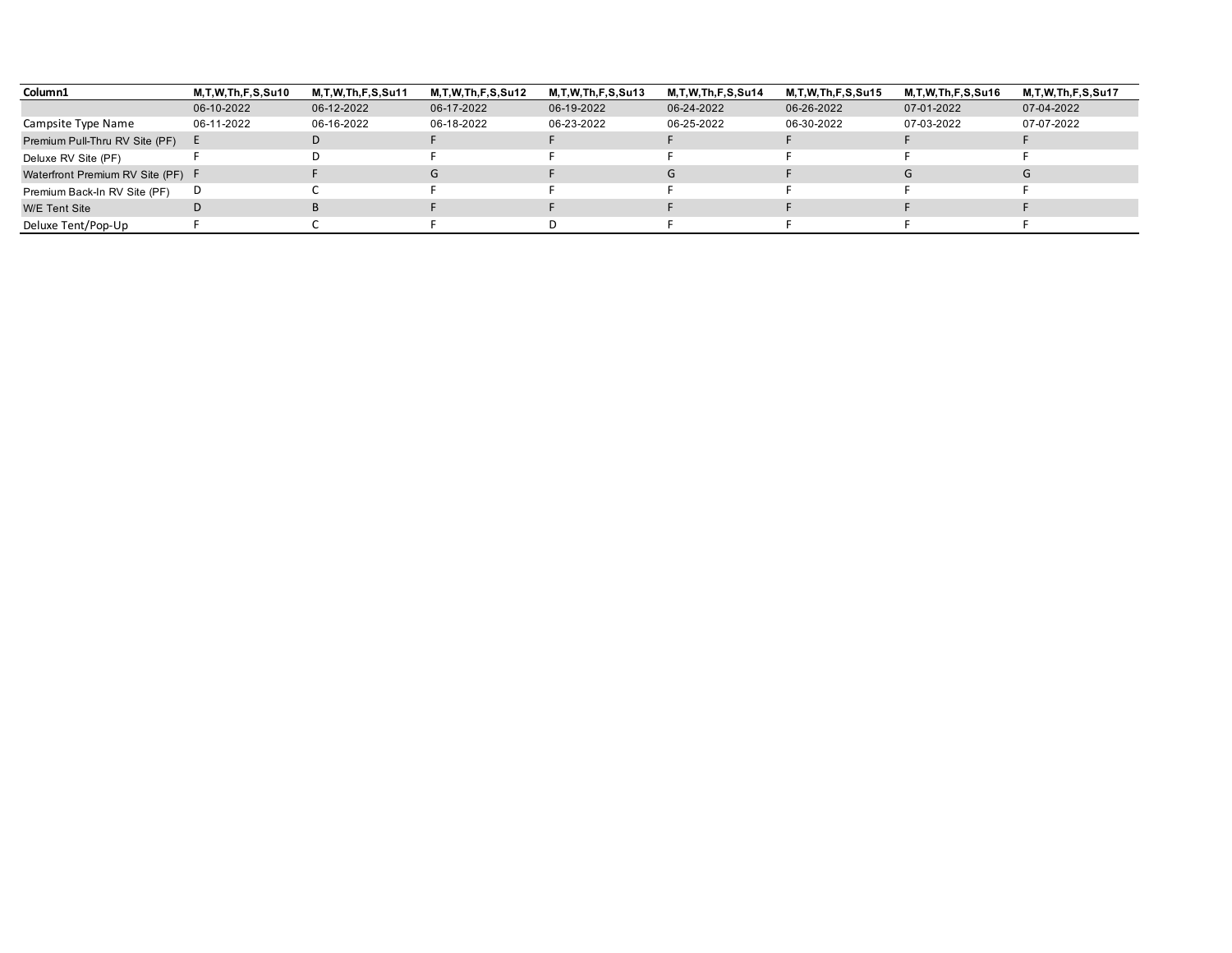| Column1                           | M,T,W,Th,F,S,Su10 | <b>M.T.W.Th.F.S.Su11</b> | M.T.W.Th.F.S.Su12 | M, T, W, Th, F, S, Su 13 | <b>M.T.W.Th.F.S.Su14</b> | M,T,W,Th,F,S,Su15 | M, T, W, Th, F, S, Su16 | M.T.W.Th.F.S.Su17 |
|-----------------------------------|-------------------|--------------------------|-------------------|--------------------------|--------------------------|-------------------|-------------------------|-------------------|
|                                   | 06-10-2022        | 06-12-2022               | 06-17-2022        | 06-19-2022               | 06-24-2022               | 06-26-2022        | 07-01-2022              | 07-04-2022        |
| Campsite Type Name                | 06-11-2022        | 06-16-2022               | 06-18-2022        | 06-23-2022               | 06-25-2022               | 06-30-2022        | 07-03-2022              | 07-07-2022        |
| Premium Pull-Thru RV Site (PF)    |                   | D                        |                   |                          |                          |                   |                         |                   |
| Deluxe RV Site (PF)               |                   |                          |                   |                          |                          |                   |                         |                   |
| Waterfront Premium RV Site (PF) F |                   |                          | G                 |                          | G                        |                   |                         |                   |
| Premium Back-In RV Site (PF)      | D                 |                          |                   |                          |                          |                   |                         |                   |
| <b>W/E</b> Tent Site              |                   |                          |                   |                          |                          |                   |                         |                   |
| Deluxe Tent/Pop-Up                |                   |                          |                   |                          |                          |                   |                         |                   |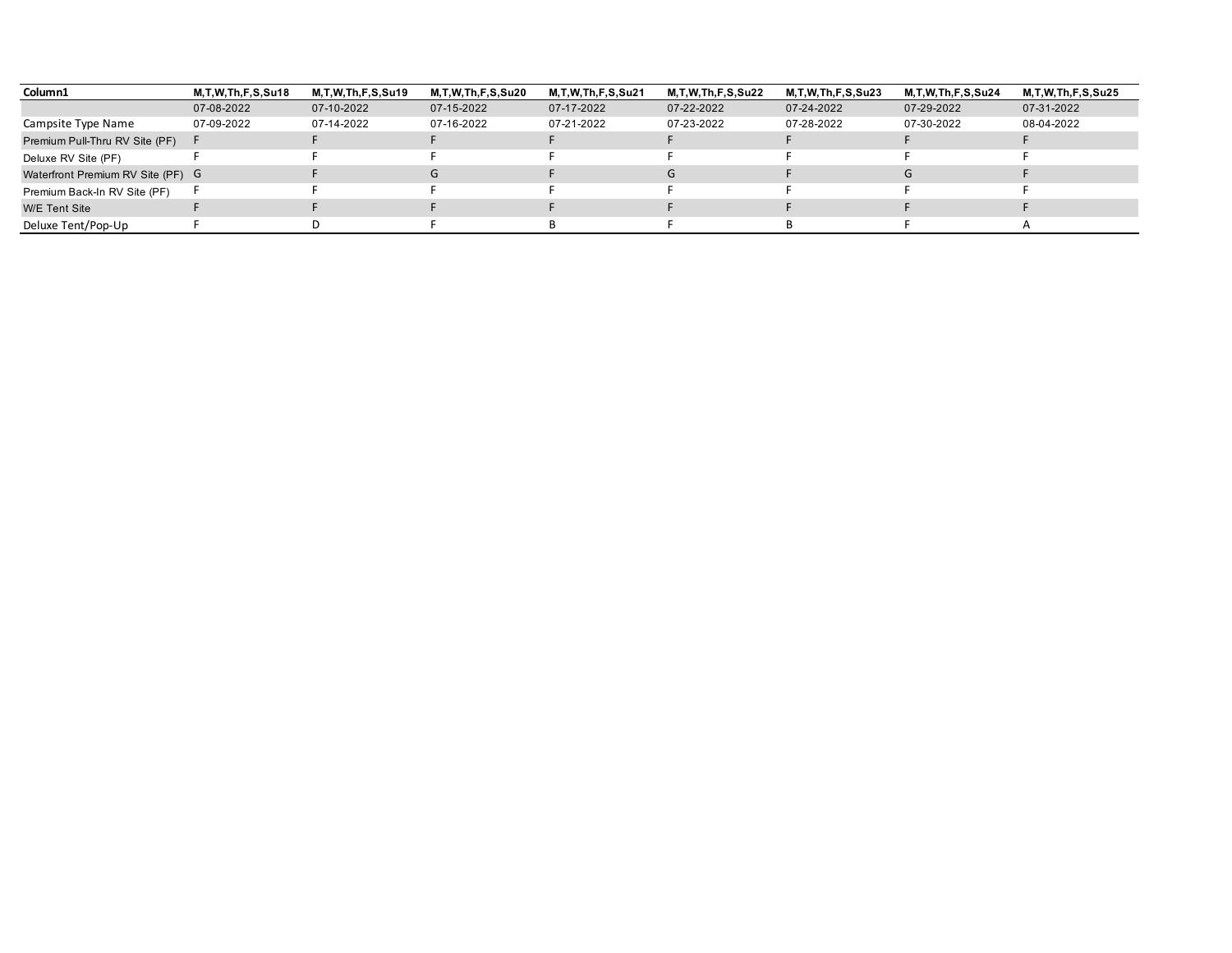| Column1                           | M.T.W.Th.F.S.Su18 | M.T.W.Th.F.S.Su19 | M,T,W,Th,F,S,Su20 | <b>M.T.W.Th.F.S.Su21</b> | M.T.W.Th.F.S.Su22 | M,T,W,Th,F,S,Su23 | M,T,W,Th,F,S,Su24 | M.T.W.Th.F.S.Su25 |
|-----------------------------------|-------------------|-------------------|-------------------|--------------------------|-------------------|-------------------|-------------------|-------------------|
|                                   | 07-08-2022        | 07-10-2022        | 07-15-2022        | 07-17-2022               | 07-22-2022        | 07-24-2022        | 07-29-2022        | 07-31-2022        |
| Campsite Type Name                | 07-09-2022        | 07-14-2022        | 07-16-2022        | 07-21-2022               | 07-23-2022        | 07-28-2022        | 07-30-2022        | 08-04-2022        |
| Premium Pull-Thru RV Site (PF)    |                   |                   |                   |                          |                   |                   |                   |                   |
| Deluxe RV Site (PF)               |                   |                   |                   |                          |                   |                   |                   |                   |
| Waterfront Premium RV Site (PF) G |                   |                   | G                 |                          | G                 |                   |                   |                   |
| Premium Back-In RV Site (PF)      |                   |                   |                   |                          |                   |                   |                   |                   |
| <b>W/E</b> Tent Site              |                   |                   |                   |                          |                   |                   |                   |                   |
| Deluxe Tent/Pop-Up                |                   |                   |                   |                          |                   |                   |                   |                   |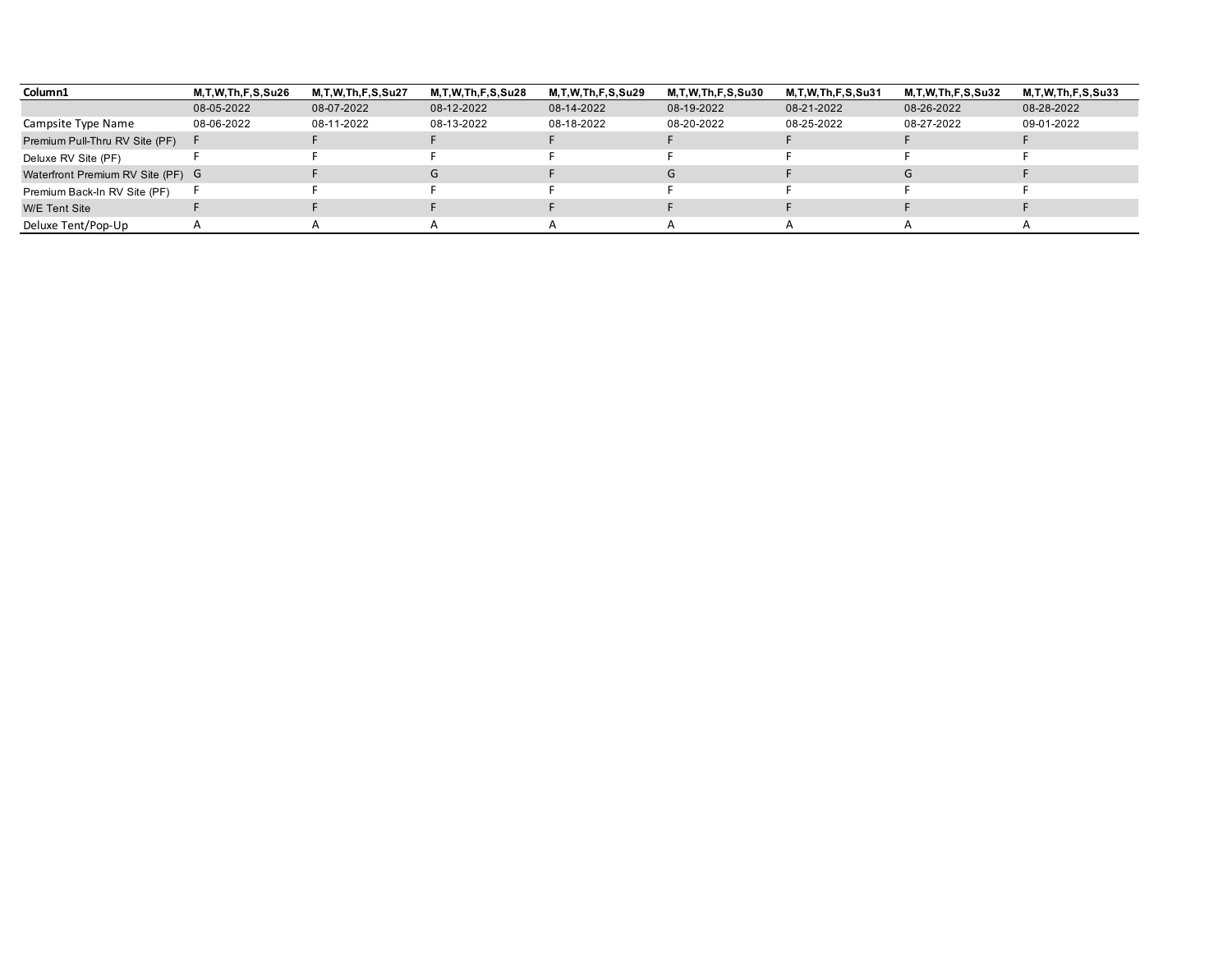| Column1                           | M,T,W,Th,F,S,Su26 | M.T.W.Th.F.S.Su27 | M,T,W,Th,F,S,Su28 | M.T.W.Th.F.S.Su29 | M,T,W,Th,F,S,Su30 | M.T.W.Th.F.S.Su31 | M,T,W,Th,F,S,Su32 | M.T.W.Th.F.S.Su33 |
|-----------------------------------|-------------------|-------------------|-------------------|-------------------|-------------------|-------------------|-------------------|-------------------|
|                                   | 08-05-2022        | 08-07-2022        | 08-12-2022        | 08-14-2022        | 08-19-2022        | 08-21-2022        | 08-26-2022        | 08-28-2022        |
| Campsite Type Name                | 08-06-2022        | 08-11-2022        | 08-13-2022        | 08-18-2022        | 08-20-2022        | 08-25-2022        | 08-27-2022        | 09-01-2022        |
| Premium Pull-Thru RV Site (PF)    |                   |                   |                   |                   |                   |                   |                   |                   |
| Deluxe RV Site (PF)               |                   |                   |                   |                   |                   |                   |                   |                   |
| Waterfront Premium RV Site (PF) G |                   |                   | G                 |                   | G                 |                   |                   |                   |
| Premium Back-In RV Site (PF)      |                   |                   |                   |                   |                   |                   |                   |                   |
| <b>W/E</b> Tent Site              |                   |                   |                   |                   |                   |                   |                   |                   |
| Deluxe Tent/Pop-Up                |                   |                   |                   |                   |                   |                   |                   |                   |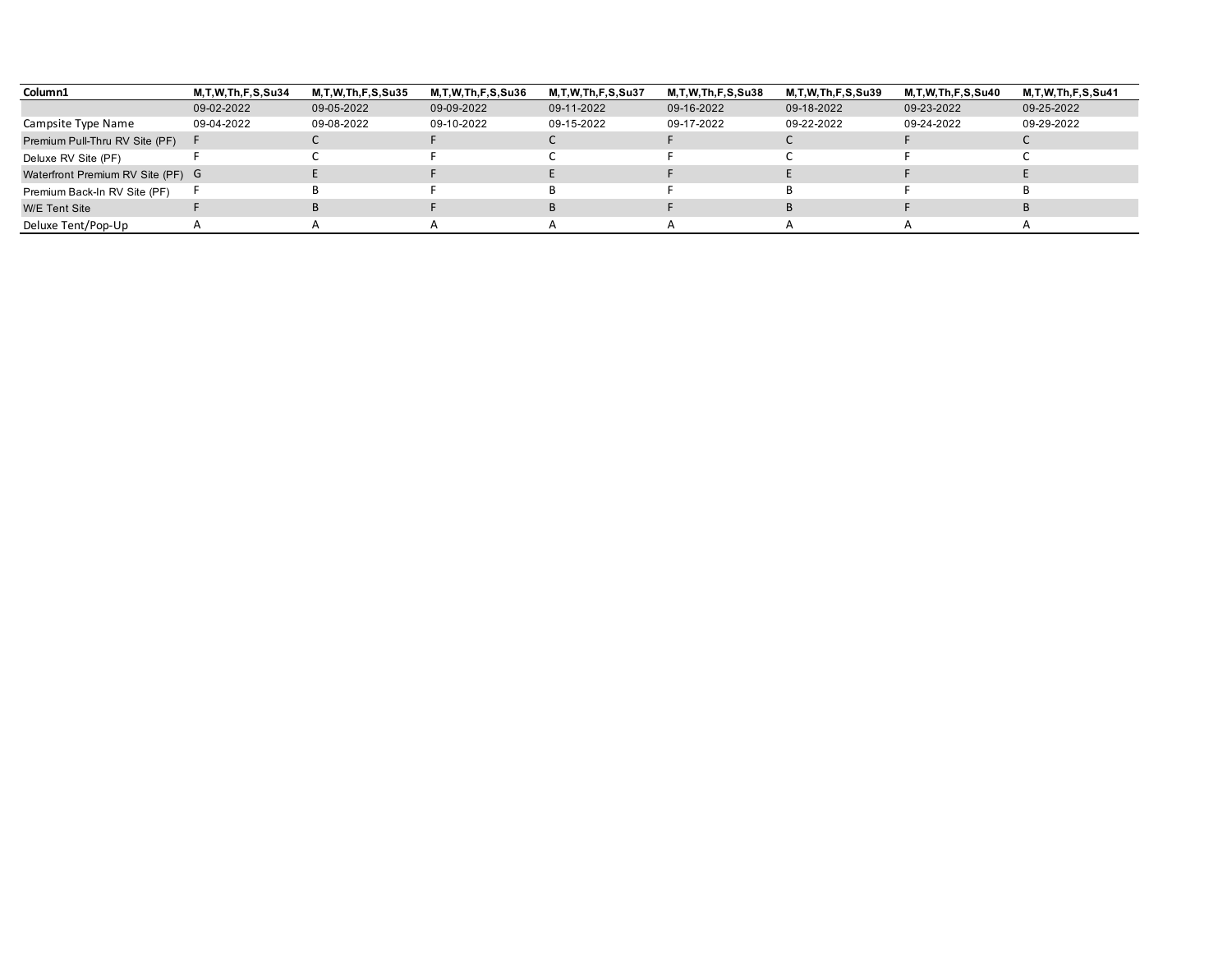| Column1                           | <b>M.T.W.Th.F.S.Su34</b> | M.T.W.Th.F.S.Su35 | M,T,W,Th,F,S,Su36 | <b>M.T.W.Th.F.S.Su37</b> | M,T,W,Th,F,S,Su38 | M.T.W.Th.F.S.Su39 | M,T,W,Th,F,S,Su40 | M.T.W.Th.F.S.Su41 |
|-----------------------------------|--------------------------|-------------------|-------------------|--------------------------|-------------------|-------------------|-------------------|-------------------|
|                                   | 09-02-2022               | 09-05-2022        | 09-09-2022        | 09-11-2022               | 09-16-2022        | 09-18-2022        | 09-23-2022        | 09-25-2022        |
| Campsite Type Name                | 09-04-2022               | 09-08-2022        | 09-10-2022        | 09-15-2022               | 09-17-2022        | 09-22-2022        | 09-24-2022        | 09-29-2022        |
| Premium Pull-Thru RV Site (PF)    |                          |                   |                   |                          |                   |                   |                   |                   |
| Deluxe RV Site (PF)               |                          |                   |                   |                          |                   |                   |                   |                   |
| Waterfront Premium RV Site (PF) G |                          |                   |                   |                          |                   |                   |                   |                   |
| Premium Back-In RV Site (PF)      |                          |                   |                   |                          |                   |                   |                   |                   |
| <b>W/E</b> Tent Site              |                          |                   |                   |                          |                   |                   |                   |                   |
| Deluxe Tent/Pop-Up                |                          |                   |                   |                          |                   |                   |                   |                   |